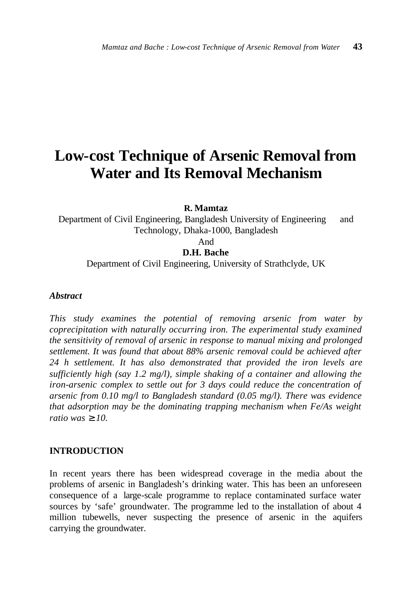# **Low-cost Technique of Arsenic Removal from Water and Its Removal Mechanism**

**R. Mamtaz**

Department of Civil Engineering, Bangladesh University of Engineering and Technology, Dhaka-1000, Bangladesh

And

**D.H. Bache**

Department of Civil Engineering, University of Strathclyde, UK

## *Abstract*

*This study examines the potential of removing arsenic from water by coprecipitation with naturally occurring iron. The experimental study examined the sensitivity of removal of arsenic in response to manual mixing and prolonged settlement. It was found that about 88% arsenic removal could be achieved after 24 h settlement. It has also demonstrated that provided the iron levels are sufficiently high (say 1.2 mg/l), simple shaking of a container and allowing the iron-arsenic complex to settle out for 3 days could reduce the concentration of arsenic from 0.10 mg/l to Bangladesh standard (0.05 mg/l). There was evidence that adsorption may be the dominating trapping mechanism when Fe/As weight ratio was ³ 10.*

# **INTRODUCTION**

In recent years there has been widespread coverage in the media about the problems of arsenic in Bangladesh's drinking water. This has been an unforeseen consequence of a large-scale programme to replace contaminated surface water sources by 'safe' groundwater. The programme led to the installation of about 4 million tubewells, never suspecting the presence of arsenic in the aquifers carrying the groundwater.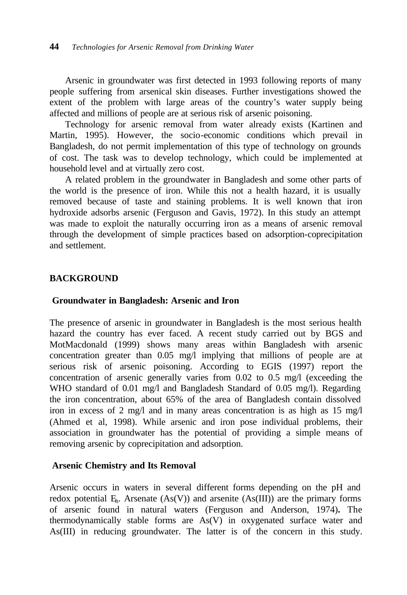Arsenic in groundwater was first detected in 1993 following reports of many people suffering from arsenical skin diseases. Further investigations showed the extent of the problem with large areas of the country's water supply being affected and millions of people are at serious risk of arsenic poisoning.

Technology for arsenic removal from water already exists (Kartinen and Martin, 1995). However, the socio-economic conditions which prevail in Bangladesh, do not permit implementation of this type of technology on grounds of cost. The task was to develop technology, which could be implemented at household level and at virtually zero cost.

A related problem in the groundwater in Bangladesh and some other parts of the world is the presence of iron. While this not a health hazard, it is usually removed because of taste and staining problems. It is well known that iron hydroxide adsorbs arsenic (Ferguson and Gavis, 1972). In this study an attempt was made to exploit the naturally occurring iron as a means of arsenic removal through the development of simple practices based on adsorption-coprecipitation and settlement.

# **BACKGROUND**

## **Groundwater in Bangladesh: Arsenic and Iron**

The presence of arsenic in groundwater in Bangladesh is the most serious health hazard the country has ever faced. A recent study carried out by BGS and MotMacdonald (1999) shows many areas within Bangladesh with arsenic concentration greater than 0.05 mg/l implying that millions of people are at serious risk of arsenic poisoning. According to EGIS (1997) report the concentration of arsenic generally varies from 0.02 to 0.5 mg/l (exceeding the WHO standard of 0.01 mg/l and Bangladesh Standard of 0.05 mg/l). Regarding the iron concentration, about 65% of the area of Bangladesh contain dissolved iron in excess of 2 mg/l and in many areas concentration is as high as  $15 \text{ mg/l}$ (Ahmed et al, 1998). While arsenic and iron pose individual problems, their association in groundwater has the potential of providing a simple means of removing arsenic by coprecipitation and adsorption.

# **Arsenic Chemistry and Its Removal**

Arsenic occurs in waters in several different forms depending on the pH and redox potential  $E<sub>h</sub>$ . Arsenate  $(As(V))$  and arsenite  $(As(III))$  are the primary forms of arsenic found in natural waters (Ferguson and Anderson, 1974)**.** The thermodynamically stable forms are As(V) in oxygenated surface water and As(III) in reducing groundwater. The latter is of the concern in this study.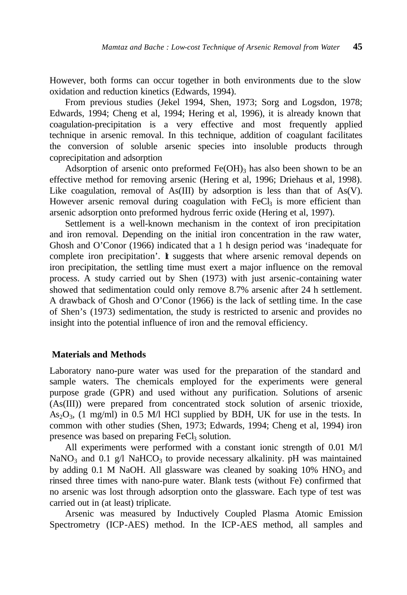However, both forms can occur together in both environments due to the slow oxidation and reduction kinetics (Edwards, 1994).

From previous studies (Jekel 1994, Shen, 1973; Sorg and Logsdon, 1978; Edwards, 1994; Cheng et al, 1994; Hering et al, 1996), it is already known that coagulation-precipitation is a very effective and most frequently applied technique in arsenic removal. In this technique, addition of coagulant facilitates the conversion of soluble arsenic species into insoluble products through coprecipitation and adsorption

Adsorption of arsenic onto preformed  $Fe(OH)$ <sub>3</sub> has also been shown to be an effective method for removing arsenic (Hering et al, 1996; Driehaus et al, 1998). Like coagulation, removal of As(III) by adsorption is less than that of  $As(V)$ . However arsenic removal during coagulation with  $FeCl<sub>3</sub>$  is more efficient than arsenic adsorption onto preformed hydrous ferric oxide (Hering et al, 1997).

Settlement is a well-known mechanism in the context of iron precipitation and iron removal. Depending on the initial iron concentration in the raw water, Ghosh and O'Conor (1966) indicated that a 1 h design period was 'inadequate for complete iron precipitation'. It suggests that where arsenic removal depends on iron precipitation, the settling time must exert a major influence on the removal process. A study carried out by Shen (1973) with just arsenic-containing water showed that sedimentation could only remove 8.7% arsenic after 24 h settlement. A drawback of Ghosh and O'Conor (1966) is the lack of settling time. In the case of Shen's (1973) sedimentation, the study is restricted to arsenic and provides no insight into the potential influence of iron and the removal efficiency.

## **Materials and Methods**

Laboratory nano-pure water was used for the preparation of the standard and sample waters. The chemicals employed for the experiments were general purpose grade (GPR) and used without any purification. Solutions of arsenic (As(III)) were prepared from concentrated stock solution of arsenic trioxide,  $As<sub>2</sub>O<sub>3</sub>$ , (1 mg/ml) in 0.5 M/l HCl supplied by BDH, UK for use in the tests. In common with other studies (Shen, 1973; Edwards, 1994; Cheng et al, 1994) iron presence was based on preparing FeCl<sub>3</sub> solution.

All experiments were performed with a constant ionic strength of 0.01 M/l NaNO<sub>3</sub> and 0.1 g/l NaHCO<sub>3</sub> to provide necessary alkalinity. pH was maintained by adding  $0.1$  M NaOH. All glassware was cleaned by soaking  $10\%$  HNO<sub>3</sub> and rinsed three times with nano-pure water. Blank tests (without Fe) confirmed that no arsenic was lost through adsorption onto the glassware. Each type of test was carried out in (at least) triplicate.

Arsenic was measured by Inductively Coupled Plasma Atomic Emission Spectrometry (ICP-AES) method. In the ICP-AES method, all samples and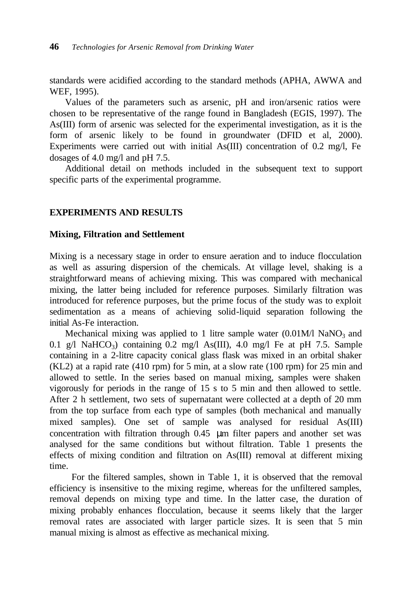standards were acidified according to the standard methods (APHA, AWWA and WEF, 1995).

Values of the parameters such as arsenic, pH and iron/arsenic ratios were chosen to be representative of the range found in Bangladesh (EGIS, 1997). The As(III) form of arsenic was selected for the experimental investigation, as it is the form of arsenic likely to be found in groundwater (DFID et al, 2000). Experiments were carried out with initial As(III) concentration of 0.2 mg/l, Fe dosages of 4.0 mg/l and pH 7.5.

Additional detail on methods included in the subsequent text to support specific parts of the experimental programme.

# **EXPERIMENTS AND RESULTS**

#### **Mixing, Filtration and Settlement**

Mixing is a necessary stage in order to ensure aeration and to induce flocculation as well as assuring dispersion of the chemicals. At village level, shaking is a straightforward means of achieving mixing. This was compared with mechanical mixing, the latter being included for reference purposes. Similarly filtration was introduced for reference purposes, but the prime focus of the study was to exploit sedimentation as a means of achieving solid-liquid separation following the initial As-Fe interaction.

Mechanical mixing was applied to 1 litre sample water  $(0.01M/\mathrm{NaNO}_3)$  and 0.1 g/l NaHCO<sub>3</sub>) containing 0.2 mg/l As(III), 4.0 mg/l Fe at pH 7.5. Sample containing in a 2-litre capacity conical glass flask was mixed in an orbital shaker (KL2) at a rapid rate (410 rpm) for 5 min, at a slow rate (100 rpm) for 25 min and allowed to settle. In the series based on manual mixing, samples were shaken vigorously for periods in the range of 15 s to 5 min and then allowed to settle. After 2 h settlement, two sets of supernatant were collected at a depth of 20 mm from the top surface from each type of samples (both mechanical and manually mixed samples). One set of sample was analysed for residual As(III) concentration with filtration through 0.45 μm filter papers and another set was analysed for the same conditions but without filtration. Table 1 presents the effects of mixing condition and filtration on As(III) removal at different mixing time.

 For the filtered samples, shown in Table 1, it is observed that the removal efficiency is insensitive to the mixing regime, whereas for the unfiltered samples, removal depends on mixing type and time. In the latter case, the duration of mixing probably enhances flocculation, because it seems likely that the larger removal rates are associated with larger particle sizes. It is seen that 5 min manual mixing is almost as effective as mechanical mixing.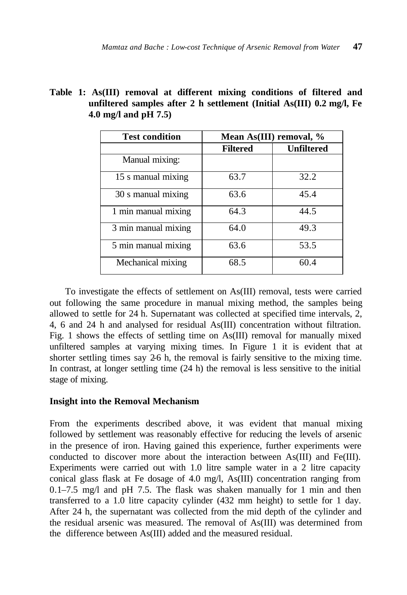| <b>Test condition</b> | Mean As(III) removal, % |                   |  |  |  |
|-----------------------|-------------------------|-------------------|--|--|--|
|                       | <b>Filtered</b>         | <b>Unfiltered</b> |  |  |  |
| Manual mixing:        |                         |                   |  |  |  |
| 15 s manual mixing    | 63.7                    | 32.2              |  |  |  |
| 30 s manual mixing    | 63.6                    | 45.4              |  |  |  |
| 1 min manual mixing   | 64.3                    | 44.5              |  |  |  |
| 3 min manual mixing   | 64.0                    | 49.3              |  |  |  |
| 5 min manual mixing   | 63.6                    | 53.5              |  |  |  |
| Mechanical mixing     | 68.5                    | 60.4              |  |  |  |

|  |                         | Table 1: As(III) removal at different mixing conditions of filtered and |  |  |  |
|--|-------------------------|-------------------------------------------------------------------------|--|--|--|
|  |                         | unfiltered samples after 2 h settlement (Initial As(III) 0.2 mg/l, Fe   |  |  |  |
|  | 4.0 mg/l and pH $7.5$ ) |                                                                         |  |  |  |

To investigate the effects of settlement on As(III) removal, tests were carried out following the same procedure in manual mixing method, the samples being allowed to settle for 24 h. Supernatant was collected at specified time intervals, 2, 4, 6 and 24 h and analysed for residual As(III) concentration without filtration. Fig. 1 shows the effects of settling time on As(III) removal for manually mixed unfiltered samples at varying mixing times. In Figure 1 it is evident that at shorter settling times say 2-6 h, the removal is fairly sensitive to the mixing time. In contrast, at longer settling time (24 h) the removal is less sensitive to the initial stage of mixing.

# **Insight into the Removal Mechanism**

From the experiments described above, it was evident that manual mixing followed by settlement was reasonably effective for reducing the levels of arsenic in the presence of iron. Having gained this experience, further experiments were conducted to discover more about the interaction between As(III) and Fe(III). Experiments were carried out with 1.0 litre sample water in a 2 litre capacity conical glass flask at Fe dosage of 4.0 mg/l, As(III) concentration ranging from 0.1–7.5 mg/l and pH 7.5. The flask was shaken manually for 1 min and then transferred to a 1.0 litre capacity cylinder (432 mm height) to settle for 1 day. After 24 h, the supernatant was collected from the mid depth of the cylinder and the residual arsenic was measured. The removal of As(III) was determined from the difference between As(III) added and the measured residual.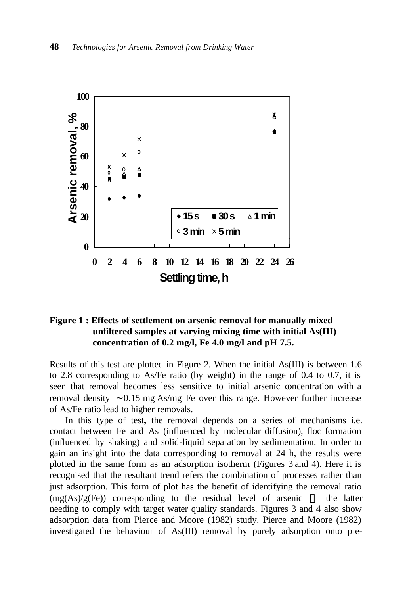

# **Figure 1 : Effects of settlement on arsenic removal for manually mixed unfiltered samples at varying mixing time with initial As(III) concentration of 0.2 mg/l, Fe 4.0 mg/l and pH 7.5.**

Results of this test are plotted in Figure 2. When the initial As(III) is between 1.6 to 2.8 corresponding to As/Fe ratio (by weight) in the range of 0.4 to 0.7, it is seen that removal becomes less sensitive to initial arsenic concentration with a removal density ∼ 0.15 mg As/mg Fe over this range. However further increase of As/Fe ratio lead to higher removals.

In this type of test**,** the removal depends on a series of mechanisms i.e. contact between Fe and As (influenced by molecular diffusion), floc formation (influenced by shaking) and solid-liquid separation by sedimentation. In order to gain an insight into the data corresponding to removal at 24 h, the results were plotted in the same form as an adsorption isotherm (Figures 3 and 4). Here it is recognised that the resultant trend refers the combination of processes rather than just adsorption. This form of plot has the benefit of identifying the removal ratio (mg(As)/g(Fe)) corresponding to the residual level of arsenic **¾** the latter needing to comply with target water quality standards. Figures 3 and 4 also show adsorption data from Pierce and Moore (1982) study. Pierce and Moore (1982) investigated the behaviour of As(III) removal by purely adsorption onto pre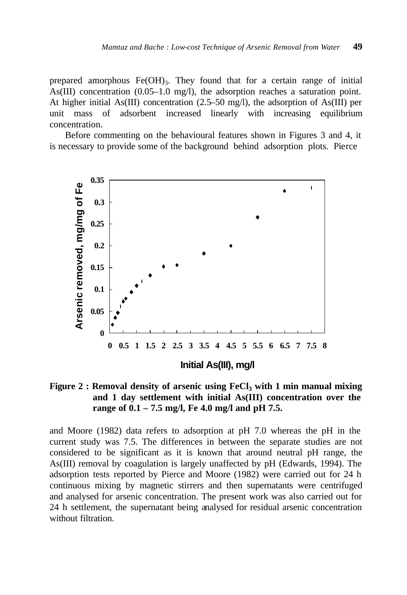prepared amorphous  $Fe(OH)_{3}$ . They found that for a certain range of initial As(III) concentration (0.05–1.0 mg/l), the adsorption reaches a saturation point. At higher initial As(III) concentration (2.5–50 mg/l), the adsorption of As(III) per unit mass of adsorbent increased linearly with increasing equilibrium concentration.

Before commenting on the behavioural features shown in Figures 3 and 4, it is necessary to provide some of the background behind adsorption plots. Pierce



**Figure 2 : Removal density of arsenic using FeCl<sup>3</sup> with 1 min manual mixing and 1 day settlement with initial As(III) concentration over the range of 0.1 – 7.5 mg/l, Fe 4.0 mg/l and pH 7.5.**

and Moore (1982) data refers to adsorption at pH 7.0 whereas the pH in the current study was 7.5. The differences in between the separate studies are not considered to be significant as it is known that around neutral pH range, the As(III) removal by coagulation is largely unaffected by pH (Edwards, 1994). The adsorption tests reported by Pierce and Moore (1982) were carried out for 24 h continuous mixing by magnetic stirrers and then supernatants were centrifuged and analysed for arsenic concentration. The present work was also carried out for 24 h settlement, the supernatant being analysed for residual arsenic concentration without filtration.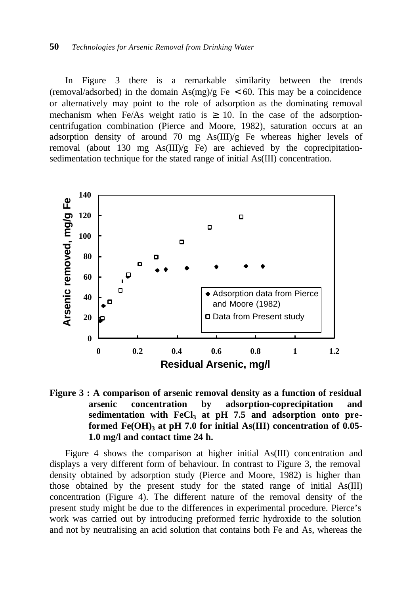In Figure 3 there is a remarkable similarity between the trends (removal/adsorbed) in the domain  $\text{As}(mg)/g$  Fe < 60. This may be a coincidence or alternatively may point to the role of adsorption as the dominating removal mechanism when Fe/As weight ratio is  $\geq$  10. In the case of the adsorptioncentrifugation combination (Pierce and Moore, 1982), saturation occurs at an adsorption density of around 70 mg As(III)/g Fe whereas higher levels of removal (about 130 mg  $\text{As(III)/g}$  Fe) are achieved by the coprecipitationsedimentation technique for the stated range of initial As(III) concentration.





Figure 4 shows the comparison at higher initial As(III) concentration and displays a very different form of behaviour. In contrast to Figure 3, the removal density obtained by adsorption study (Pierce and Moore, 1982) is higher than those obtained by the present study for the stated range of initial As(III) concentration (Figure 4). The different nature of the removal density of the present study might be due to the differences in experimental procedure. Pierce's work was carried out by introducing preformed ferric hydroxide to the solution and not by neutralising an acid solution that contains both Fe and As, whereas the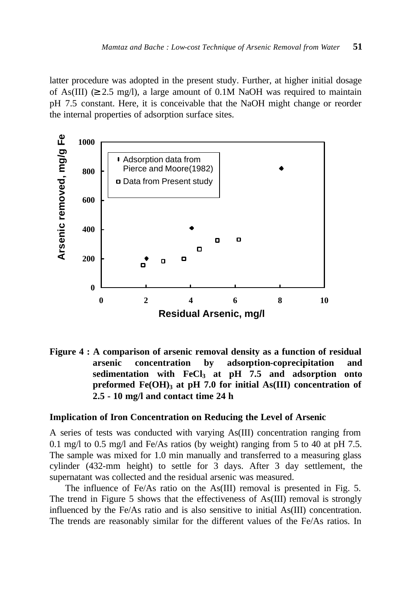latter procedure was adopted in the present study. Further, at higher initial dosage of As(III)  $(≥ 2.5 \text{ mg/l})$ , a large amount of 0.1M NaOH was required to maintain pH 7.5 constant. Here, it is conceivable that the NaOH might change or reorder the internal properties of adsorption surface sites.



**Figure 4 : A comparison of arsenic removal density as a function of residual arsenic concentration by adsorption-coprecipitation and sedimentation with FeCl<sup>3</sup> at pH 7.5 and adsorption onto preformed Fe(OH)<sup>3</sup> at pH 7.0 for initial As(III) concentration of 2.5 - 10 mg/l and contact time 24 h**

# **Implication of Iron Concentration on Reducing the Level of Arsenic**

A series of tests was conducted with varying As(III) concentration ranging from 0.1 mg/l to 0.5 mg/l and Fe/As ratios (by weight) ranging from 5 to 40 at pH 7.5. The sample was mixed for 1.0 min manually and transferred to a measuring glass cylinder (432-mm height) to settle for 3 days. After 3 day settlement, the supernatant was collected and the residual arsenic was measured.

The influence of Fe/As ratio on the As(III) removal is presented in Fig. 5. The trend in Figure 5 shows that the effectiveness of As(III) removal is strongly influenced by the Fe/As ratio and is also sensitive to initial As(III) concentration. The trends are reasonably similar for the different values of the Fe/As ratios. In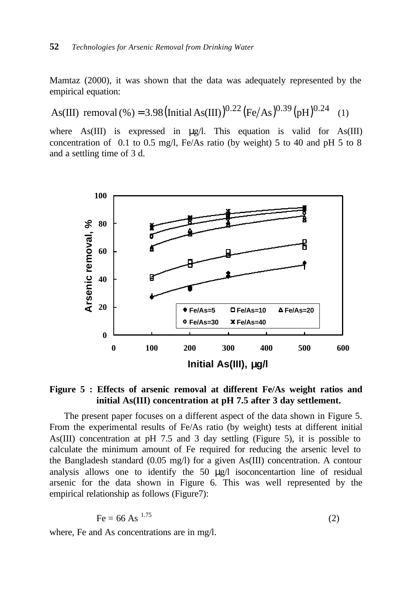Mamtaz (2000), it was shown that the data was adequately represented by the empirical equation:

As(III) removal (%) = 3.98 (Initial As(III))<sup>0.22</sup> (Fe/As)<sup>0.39</sup> (pH)<sup>0.24</sup> (1)

where  $\text{As(III)}$  is expressed in  $\mu$ g/l. This equation is valid for As(III) concentration of 0.1 to 0.5 mg/l, Fe/As ratio (by weight) 5 to 40 and pH 5 to 8 and a settling time of 3 d.



**Figure 5 : Effects of arsenic removal at different Fe/As weight ratios and initial As(III) concentration at pH 7.5 after 3 day settlement.**

 The present paper focuses on a different aspect of the data shown in Figure 5. From the experimental results of Fe/As ratio (by weight) tests at different initial As(III) concentration at pH 7.5 and 3 day settling (Figure 5), it is possible to calculate the minimum amount of Fe required for reducing the arsenic level to the Bangladesh standard (0.05 mg/l) for a given As(III) concentration. A contour analysis allows one to identify the 50 μg/l isoconcentartion line of residual arsenic for the data shown in Figure 6. This was well represented by the empirical relationship as follows (Figure7):

$$
Fe = 66 \text{ As}^{1.75} \tag{2}
$$

where, Fe and As concentrations are in mg/l.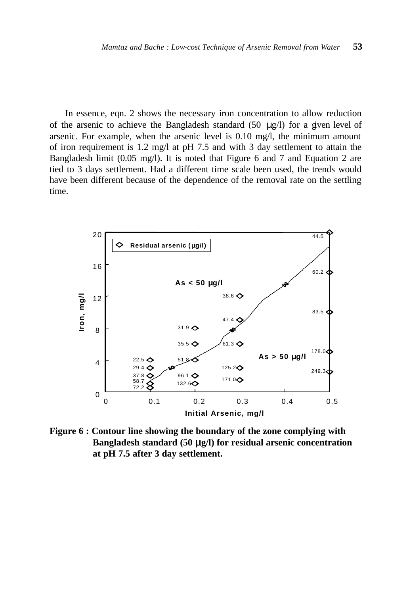In essence, eqn. 2 shows the necessary iron concentration to allow reduction of the arsenic to achieve the Bangladesh standard (50  $\mu$ g/l) for a given level of arsenic. For example, when the arsenic level is 0.10 mg/l, the minimum amount of iron requirement is 1.2 mg/l at pH 7.5 and with 3 day settlement to attain the Bangladesh limit (0.05 mg/l). It is noted that Figure 6 and 7 and Equation 2 are tied to 3 days settlement. Had a different time scale been used, the trends would have been different because of the dependence of the removal rate on the settling time.



**Figure 6 : Contour line showing the boundary of the zone complying with Bangladesh standard (50 mg/l) for residual arsenic concentration at pH 7.5 after 3 day settlement.**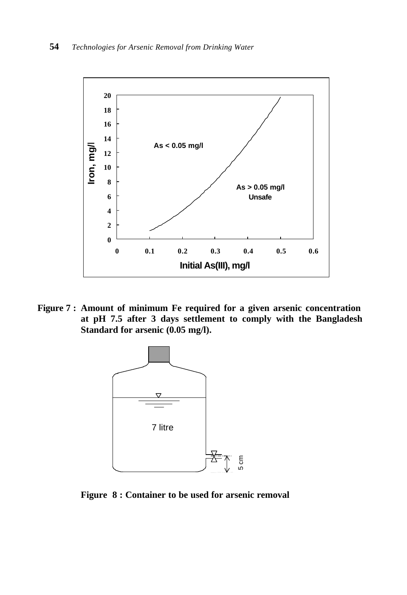

**Figure 7 : Amount of minimum Fe required for a given arsenic concentration at pH 7.5 after 3 days settlement to comply with the Bangladesh Standard for arsenic (0.05 mg/l).**



**Figure 8 : Container to be used for arsenic removal**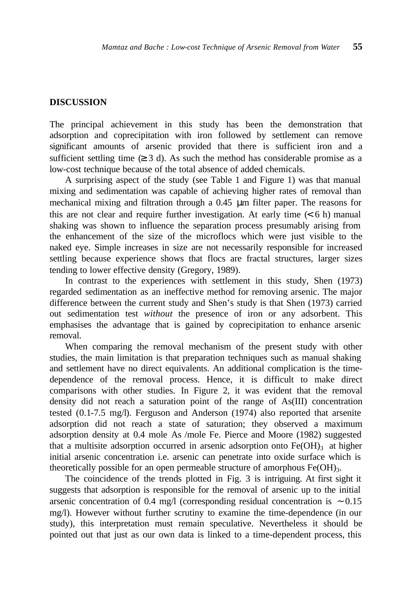#### **DISCUSSION**

The principal achievement in this study has been the demonstration that adsorption and coprecipitation with iron followed by settlement can remove significant amounts of arsenic provided that there is sufficient iron and a sufficient settling time  $(≥ 3 d)$ . As such the method has considerable promise as a low-cost technique because of the total absence of added chemicals.

A surprising aspect of the study (see Table 1 and Figure 1) was that manual mixing and sedimentation was capable of achieving higher rates of removal than mechanical mixing and filtration through a 0.45 μm filter paper. The reasons for this are not clear and require further investigation. At early time  $(< 6 h$ ) manual shaking was shown to influence the separation process presumably arising from the enhancement of the size of the microflocs which were just visible to the naked eye. Simple increases in size are not necessarily responsible for increased settling because experience shows that flocs are fractal structures, larger sizes tending to lower effective density (Gregory, 1989).

In contrast to the experiences with settlement in this study, Shen (1973) regarded sedimentation as an ineffective method for removing arsenic. The major difference between the current study and Shen's study is that Shen (1973) carried out sedimentation test *without* the presence of iron or any adsorbent. This emphasises the advantage that is gained by coprecipitation to enhance arsenic removal.

When comparing the removal mechanism of the present study with other studies, the main limitation is that preparation techniques such as manual shaking and settlement have no direct equivalents. An additional complication is the timedependence of the removal process. Hence, it is difficult to make direct comparisons with other studies. In Figure 2, it was evident that the removal density did not reach a saturation point of the range of As(III) concentration tested (0.1-7.5 mg/l). Ferguson and Anderson (1974) also reported that arsenite adsorption did not reach a state of saturation; they observed a maximum adsorption density at 0.4 mole As /mole Fe. Pierce and Moore (1982) suggested that a multisite adsorption occurred in arsenic adsorption onto  $Fe(OH)_3$  at higher initial arsenic concentration i.e. arsenic can penetrate into oxide surface which is theoretically possible for an open permeable structure of amorphous Fe(OH)<sub>3</sub>.

The coincidence of the trends plotted in Fig. 3 is intriguing. At first sight it suggests that adsorption is responsible for the removal of arsenic up to the initial arsenic concentration of 0.4 mg/l (corresponding residual concentration is ∼ 0.15 mg/l). However without further scrutiny to examine the time-dependence (in our study), this interpretation must remain speculative. Nevertheless it should be pointed out that just as our own data is linked to a time-dependent process, this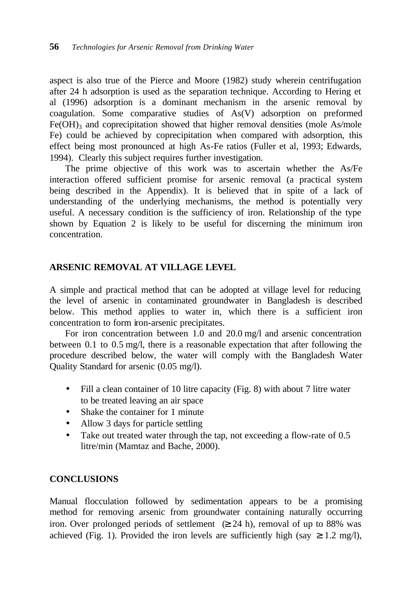aspect is also true of the Pierce and Moore (1982) study wherein centrifugation after 24 h adsorption is used as the separation technique. According to Hering et al (1996) adsorption is a dominant mechanism in the arsenic removal by coagulation. Some comparative studies of As(V) adsorption on preformed  $Fe(OH)$ <sub>3</sub> and coprecipitation showed that higher removal densities (mole As/mole Fe) could be achieved by coprecipitation when compared with adsorption, this effect being most pronounced at high As-Fe ratios (Fuller et al, 1993; Edwards, 1994). Clearly this subject requires further investigation.

The prime objective of this work was to ascertain whether the As/Fe interaction offered sufficient promise for arsenic removal (a practical system being described in the Appendix). It is believed that in spite of a lack of understanding of the underlying mechanisms, the method is potentially very useful. A necessary condition is the sufficiency of iron. Relationship of the type shown by Equation 2 is likely to be useful for discerning the minimum iron concentration.

# **ARSENIC REMOVAL AT VILLAGE LEVEL**

A simple and practical method that can be adopted at village level for reducing the level of arsenic in contaminated groundwater in Bangladesh is described below. This method applies to water in, which there is a sufficient iron concentration to form iron-arsenic precipitates.

For iron concentration between 1.0 and 20.0 mg/l and arsenic concentration between 0.1 to 0.5 mg/l, there is a reasonable expectation that after following the procedure described below, the water will comply with the Bangladesh Water Quality Standard for arsenic (0.05 mg/l).

- Fill a clean container of 10 litre capacity (Fig. 8) with about 7 litre water to be treated leaving an air space
- Shake the container for 1 minute
- Allow 3 days for particle settling
- Take out treated water through the tap, not exceeding a flow-rate of 0.5 litre/min (Mamtaz and Bache, 2000).

# **CONCLUSIONS**

Manual flocculation followed by sedimentation appears to be a promising method for removing arsenic from groundwater containing naturally occurring iron. Over prolonged periods of settlement  $\geq 24$  h), removal of up to 88% was achieved (Fig. 1). Provided the iron levels are sufficiently high (say  $\geq 1.2$  mg/l),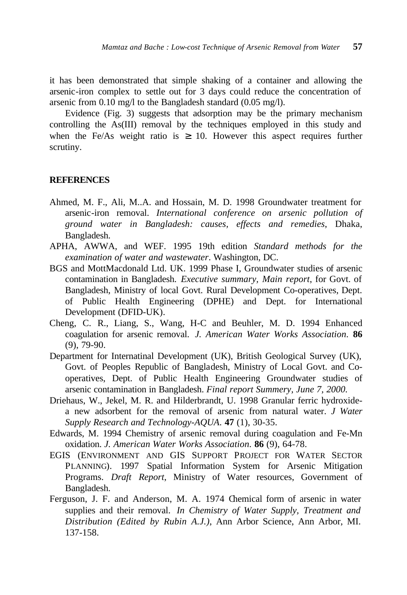it has been demonstrated that simple shaking of a container and allowing the arsenic-iron complex to settle out for 3 days could reduce the concentration of arsenic from 0.10 mg/l to the Bangladesh standard (0.05 mg/l).

Evidence (Fig. 3) suggests that adsorption may be the primary mechanism controlling the As(III) removal by the techniques employed in this study and when the Fe/As weight ratio is  $\geq$  10. However this aspect requires further scrutiny.

## **REFERENCES**

- Ahmed, M. F., Ali, M..A. and Hossain, M. D. 1998 Groundwater treatment for arsenic-iron removal. *International conference on arsenic pollution of ground water in Bangladesh: causes, effects and remedies*, Dhaka, Bangladesh.
- APHA, AWWA, and WEF. 1995 19th edition *Standard methods for the examination of water and wastewater*. Washington, DC.
- BGS and MottMacdonald Ltd. UK. 1999 Phase I, Groundwater studies of arsenic contamination in Bangladesh. *Executive summary, Main report*, for Govt. of Bangladesh, Ministry of local Govt. Rural Development Co-operatives, Dept. of Public Health Engineering (DPHE) and Dept. for International Development (DFID-UK).
- Cheng, C. R., Liang, S., Wang, H-C and Beuhler, M. D. 1994 Enhanced coagulation for arsenic removal. *J. American Water Works Association*. **86** (9), 79-90.
- Department for Internatinal Development (UK), British Geological Survey (UK), Govt. of Peoples Republic of Bangladesh, Ministry of Local Govt. and Cooperatives, Dept. of Public Health Engineering Groundwater studies of arsenic contamination in Bangladesh. *Final report Summery, June 7, 2000.*
- Driehaus, W., Jekel, M. R. and Hilderbrandt, U. 1998 Granular ferric hydroxidea new adsorbent for the removal of arsenic from natural water. *J Water Supply Research and Technology-AQUA*. **47** (1), 30-35.
- Edwards, M. 1994 Chemistry of arsenic removal during coagulation and Fe-Mn oxidation. *J. American Water Works Association*. **86** (9), 64-78.
- EGIS (ENVIRONMENT AND GIS SUPPORT PROJECT FOR WATER SECTOR PLANNING). 1997 Spatial Information System for Arsenic Mitigation Programs. *Draft Report*, Ministry of Water resources, Government of Bangladesh.
- Ferguson, J. F. and Anderson, M. A. 1974 Chemical form of arsenic in water supplies and their removal. *In Chemistry of Water Supply, Treatment and Distribution (Edited by Rubin A.J.)*, Ann Arbor Science, Ann Arbor, MI. 137-158.